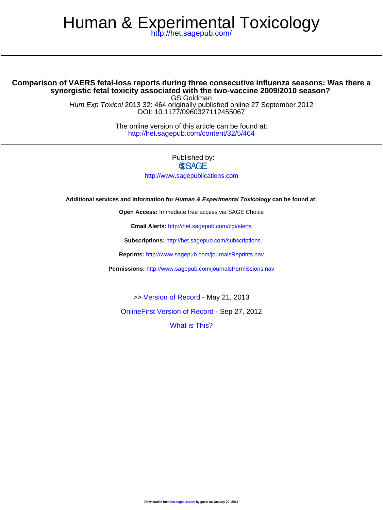# Human & [Experimental Toxic](http://www.sagepub.com/journalsPermissions.nav)ology

<http://het.sagepub.com/>

# **synergistic fetal to[xicity associated with the tw](http://het.sagepub.com/content/early/2012/09/12/0960327112455067.full.pdf)o-vaccine 2009/2010 season? Comparison of VAERS fetal-loss re[ports during three](http://het.sagepub.com/content/32/5/464.full.pdf) consecutive influenza seasons: Was there a**

DOI: 10.1177/0960327112455067 Hum Exp Toxicol 2013 32: 464 [originally publis](http://online.sagepub.com/site/sphelp/vorhelp.xhtml)hed online 27 September 2012 GS Goldman

> <http://het.sagepub.com/content/32/5/464> The online version of this article can be found at:

> > Published by:<br>
> > SAGE <http://www.sagepublications.com>

**Additional services and information for Human & Experimental Toxicology can be found at:**

**Open Access:** Immediate free access via SAGE Choice

**Email Alerts:** <http://het.sagepub.com/cgi/alerts>

**Subscriptions:** <http://het.sagepub.com/subscriptions>

**Reprints:** <http://www.sagepub.com/journalsReprints.nav>

**Permissions:** <http://www.sagepub.com/journalsPermissions.nav>

>> [Version of Record -](http://het.sagepub.com/content/32/5/464.full.pdf) May 21, 2013

[OnlineFirst Version of Record -](http://het.sagepub.com/content/early/2012/09/12/0960327112455067.full.pdf) Sep 27, 2012

[What is This?](http://online.sagepub.com/site/sphelp/vorhelp.xhtml)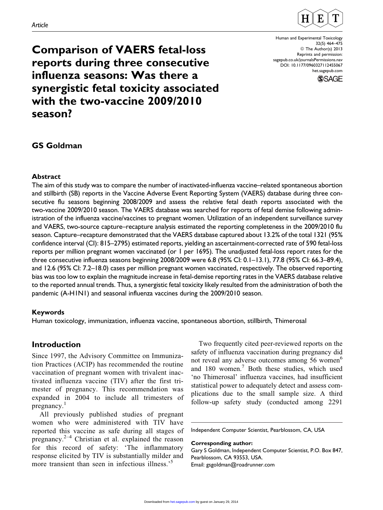

Human and Experimental Toxicology 32(5) 464–475 © The Author(s) 2013 Reprints and permission: [sagepub.co.uk/journalsPermissions.nav](http://www.sagepub.co.uk/journalsPermissions.nav) DOI: 10.1177/0960327112455067 [het.sagepub.com](http://het.sagepub.com)



Comparison of VAERS fetal-loss reports during three consecutive influenza seasons: Was there a synergistic fetal toxicity associated with the two-vaccine 2009/2010 season?

## GS Goldman

### Abstract

The aim of this study was to compare the number of inactivated-influenza vaccine–related spontaneous abortion and stillbirth (SB) reports in the Vaccine Adverse Event Reporting System (VAERS) database during three consecutive flu seasons beginning 2008/2009 and assess the relative fetal death reports associated with the two-vaccine 2009/2010 season. The VAERS database was searched for reports of fetal demise following administration of the influenza vaccine/vaccines to pregnant women. Utilization of an independent surveillance survey and VAERS, two-source capture–recapture analysis estimated the reporting completeness in the 2009/2010 flu season. Capture–recapture demonstrated that the VAERS database captured about 13.2% of the total 1321 (95% confidence interval (CI): 815–2795) estimated reports, yielding an ascertainment-corrected rate of 590 fetal-loss reports per million pregnant women vaccinated (or 1 per 1695). The unadjusted fetal-loss report rates for the three consecutive influenza seasons beginning 2008/2009 were 6.8 (95% CI: 0.1–13.1), 77.8 (95% CI: 66.3–89.4), and 12.6 (95% CI: 7.2–18.0) cases per million pregnant women vaccinated, respectively. The observed reporting bias was too low to explain the magnitude increase in fetal-demise reporting rates in the VAERS database relative to the reported annual trends. Thus, a synergistic fetal toxicity likely resulted from the administration of both the pandemic (A-H1N1) and seasonal influenza vaccines during the 2009/2010 season.

### Keywords

Human toxicology, immunization, influenza vaccine, spontaneous abortion, stillbirth, Thimerosal

# Introduction

Since 1997, the Advisory Committee on Immunization Practices (ACIP) has recommended the routine vaccination of pregnant women with trivalent inactivated influenza vaccine (TIV) after the first trimester of pregnancy. This recommendation was expanded in 2004 to include all trimesters of pregnancy.<sup>1</sup>

All previously published studies of pregnant women who were administered with TIV have reported this vaccine as safe during all stages of pregnancy. $2-4$  Christian et al. explained the reason for this record of safety: 'The inflammatory response elicited by TIV is substantially milder and more transient than seen in infectious illness.<sup>55</sup>

Two frequently cited peer-reviewed reports on the safety of influenza vaccination during pregnancy did not reveal any adverse outcomes among 56 women<sup>6</sup> and 180 women.<sup>7</sup> Both these studies, which used 'no Thimerosal' influenza vaccines, had insufficient statistical power to adequately detect and assess complications due to the small sample size. A third follow-up safety study (conducted among 2291

Independent Computer Scientist, Pearblossom, CA, USA

#### Corresponding author:

Gary S Goldman, Independent Computer Scientist, P.O. Box 847, Pearblossom, CA 93553, USA. Email: gsgoldman@roadrunner.com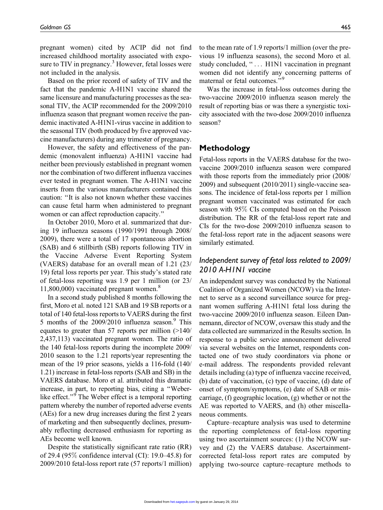pregnant women) cited by ACIP did not find increased childhood mortality associated with exposure to TIV in pregnancy.<sup>3</sup> However, fetal losses were not included in the analysis.

Based on the prior record of safety of TIV and the fact that the pandemic A-H1N1 vaccine shared the same licensure and manufacturing processes as the seasonal TIV, the ACIP recommended for the 2009/2010 influenza season that pregnant women receive the pandemic inactivated A-H1N1-virus vaccine in addition to the seasonal TIV (both produced by five approved vaccine manufacturers) during any trimester of pregnancy.

However, the safety and effectiveness of the pandemic (monovalent influenza) A-H1N1 vaccine had neither been previously established in pregnant women nor the combination of two different influenza vaccines ever tested in pregnant women. The A-H1N1 vaccine inserts from the various manufacturers contained this caution: ''It is also not known whether these vaccines can cause fetal harm when administered to pregnant women or can affect reproduction capacity.''

In October 2010, Moro et al. summarized that during 19 influenza seasons (1990/1991 through 2008/ 2009), there were a total of 17 spontaneous abortion (SAB) and 6 stillbirth (SB) reports following TIV in the Vaccine Adverse Event Reporting System (VAERS) database for an overall mean of 1.21 (23/ 19) fetal loss reports per year. This study's stated rate of fetal-loss reporting was 1.9 per 1 million (or 23/  $11,800,000$ ) vaccinated pregnant women.<sup>8</sup>

In a second study published 8 months following the first, Moro et al. noted 121 SAB and 19 SB reports or a total of 140 fetal-loss reports to VAERS during the first 5 months of the  $2009/2010$  influenza season.<sup>9</sup> This equates to greater than 57 reports per million (>140/ 2,437,113) vaccinated pregnant women. The ratio of the 140 fetal-loss reports during the incomplete 2009/ 2010 season to the 1.21 reports/year representing the mean of the 19 prior seasons, yields a 116-fold (140/ 1.21) increase in fetal-loss reports (SAB and SB) in the VAERS database. Moro et al. attributed this dramatic increase, in part, to reporting bias, citing a ''Weberlike effect."<sup>9</sup> The Weber effect is a temporal reporting pattern whereby the number of reported adverse events (AEs) for a new drug increases during the first 2 years of marketing and then subsequently declines, presumably reflecting decreased enthusiasm for reporting as AEs become well known.

Despite the statistically significant rate ratio (RR) of 29.4 (95% confidence interval (CI): 19.0–45.8) for 2009/2010 fetal-loss report rate (57 reports/1 million)

to the mean rate of 1.9 reports/1 million (over the previous 19 influenza seasons), the second Moro et al. study concluded, "... H1N1 vaccination in pregnant women did not identify any concerning patterns of maternal or fetal outcomes."<sup>9</sup>

Was the increase in fetal-loss outcomes during the two-vaccine 2009/2010 influenza season merely the result of reporting bias or was there a synergistic toxicity associated with the two-dose 2009/2010 influenza season?

## Methodology

Fetal-loss reports in the VAERS database for the twovaccine 2009/2010 influenza season were compared with those reports from the immediately prior (2008/ 2009) and subsequent (2010/2011) single-vaccine seasons. The incidence of fetal-loss reports per 1 million pregnant women vaccinated was estimated for each season with 95% CIs computed based on the Poisson distribution. The RR of the fetal-loss report rate and CIs for the two-dose 2009/2010 influenza season to the fetal-loss report rate in the adjacent seasons were similarly estimated.

## Independent survey of fetal loss related to 2009/ 2010 A-H1N1 vaccine

An independent survey was conducted by the National Coalition of Organized Women (NCOW) via the Internet to serve as a second surveillance source for pregnant women suffering A-H1N1 fetal loss during the two-vaccine 2009/2010 influenza season. Eileen Dannemann, director of NCOW, oversaw this study and the data collected are summarized in the Results section. In response to a public service announcement delivered via several websites on the Internet, respondents contacted one of two study coordinators via phone or e-mail address. The respondents provided relevant details including (a) type of influenza vaccine received, (b) date of vaccination, (c) type of vaccine, (d) date of onset of symptom/symptoms, (e) date of SAB or miscarriage, (f) geographic location, (g) whether or not the AE was reported to VAERS, and (h) other miscellaneous comments.

Capture–recapture analysis was used to determine the reporting completeness of fetal-loss reporting using two ascertainment sources: (1) the NCOW survey and (2) the VAERS database. Ascertainmentcorrected fetal-loss report rates are computed by applying two-source capture–recapture methods to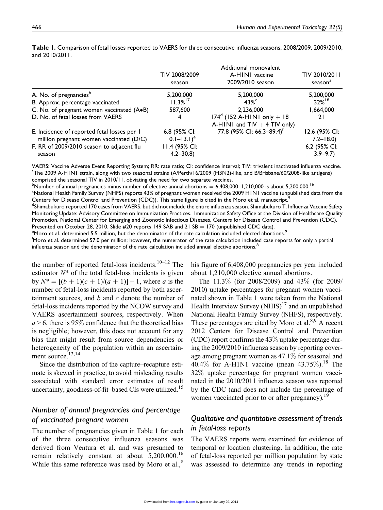|                                                                                        | TIV 2008/2009<br>season                   | Additional monovalent<br>A-HINI vaccine<br>2009/2010 season      | TIV 2010/2011<br>season <sup>a</sup> |
|----------------------------------------------------------------------------------------|-------------------------------------------|------------------------------------------------------------------|--------------------------------------|
| A. No. of pregnancies <sup>b</sup>                                                     | 5,200,000                                 | 5,200,000                                                        | 5,200,000                            |
| B. Approx. percentage vaccinated                                                       | $11.3%^{17}$                              | $43\%$ <sup>c</sup>                                              | $32%^{18}$                           |
| C. No. of pregnant women vaccinated (A.B)                                              | 587,600                                   | 2,236,000                                                        | 1,664,000                            |
| D. No. of fetal losses from VAERS                                                      | 4                                         | $174^d$ (152 A-HINI only + 18)<br>A-HINI and $TIV + 4$ TIV only) | 21                                   |
| E. Incidence of reported fetal losses per I<br>million pregnant women vaccinated (D/C) | 6.8 (95% CI:<br>$0.1 - 13.1$ <sup>e</sup> | 77.8 (95% CI: 66.3-89.4) <sup>f</sup>                            | 12.6 (95% CI:<br>$7.2 - 18.0$        |
| F. RR of 2009/2010 season to adjacent flu<br>season                                    | 11.4 (95% CI:<br>$4.2 - 30.8$             |                                                                  | 6.2 (95% CI:<br>$3.9 - 9.7$          |

Table 1. Comparison of fetal losses reported to VAERS for three consecutive influenza seasons, 2008/2009, 2009/2010, and 2010/2011.

VAERS: Vaccine Adverse Event Reporting System; RR: rate ratio; CI: confidence interval; TIV: trivalent inactivated influenza vaccine. a The 2009 A-H1N1 strain, along with two seasonal strains (A/Perth/16/2009 (H3N2)-like, and B/Brisbane/60/2008-like antigens) comprised the seasonal TIV in 2010/11, obviating the need for two separate vaccines.

 $^{\rm b}$ Number of annual pregnancies minus number of elective annual abortions  $=$  6,408,000–1,210,000 is about 5,200,000. $^{16}$ 

 $\,$  National Health Family Survey (NHFS) reports 43% of pregnant women received the 2009 H1N1 vaccine (unpublished data from the Centers for Disease Control and Prevention (CDC)). This same figure is cited in the Moro et al. manuscript.<sup>9</sup>

<sup>d</sup>Shimabukuro reported 170 cases from VAERS, but did not include the entire influenza season. Shimabukuro T. Influenza Vaccine Safety Monitoring Update: Advisory Committee on Immunization Practices. Immunization Safety Office at the Division of Healthcare Quality Promotion, National Center for Emerging and Zoonotic Infectious Diseases, Centers for Disease Control and Prevention (CDC). Presented on October 28, 2010. Slide #20 reports 149 SAB and 21 SB = 170 (unpublished CDC data).

<sup>e</sup>Moro et al. determined 5.5 million, but the denominator of the rate calculation included elected abortions.<sup>9</sup>

f Moro et al. determined 57.0 per million; however, the numerator of the rate calculation included case reports for only a partial influenza season and the denominator of the rate calculation included annual elective abortions.<sup>8</sup>

the number of reported fetal-loss incidents.<sup>10–12</sup> The estimator  $N^*$  of the total fetal-loss incidents is given by  $N^* = [(b + 1)(c + 1)/(a + 1)] - 1$ , where a is the number of fetal-loss incidents reported by both ascertainment sources, and  $b$  and  $c$  denote the number of fetal-loss incidents reported by the NCOW survey and VAERS ascertainment sources, respectively. When  $a > 6$ , there is 95% confidence that the theoretical bias is negligible; however, this does not account for any bias that might result from source dependencies or heterogeneity of the population within an ascertainment source.<sup>13,14</sup>

Since the distribution of the capture–recapture estimate is skewed in practice, to avoid misleading results associated with standard error estimates of result uncertainty, goodness-of-fit-based CIs were utilized.<sup>15</sup>

## Number of annual pregnancies and percentage of vaccinated pregnant women

The number of pregnancies given in Table 1 for each of the three consecutive influenza seasons was derived from Ventura et al. and was presumed to remain relatively constant at about 5,200,000.<sup>16</sup> While this same reference was used by Moro et al., $8$  his figure of 6,408,000 pregnancies per year included about 1,210,000 elective annual abortions.

The 11.3% (for 2008/2009) and 43% (for 2009/ 2010) uptake percentages for pregnant women vaccinated shown in Table 1 were taken from the National Health Interview Survey  $(NHIS)^{17}$  and an unpublished National Health Family Survey (NHFS), respectively. These percentages are cited by Moro et al. $8.9$  A recent 2012 Centers for Disease Control and Prevention (CDC) report confirms the 43% uptake percentage during the 2009/2010 influenza season by reporting coverage among pregnant women as 47.1% for seasonal and 40.4% for A-H1N1 vaccine (mean  $43.75\%$ ).<sup>18</sup> The 32% uptake percentage for pregnant women vaccinated in the 2010/2011 influenza season was reported by the CDC (and does not include the percentage of women vaccinated prior to or after pregnancy).<sup>19</sup>

## Qualitative and quantitative assessment of trends in fetal-loss reports

The VAERS reports were examined for evidence of temporal or location clustering. In addition, the rate of fetal-loss reported per million population by state was assessed to determine any trends in reporting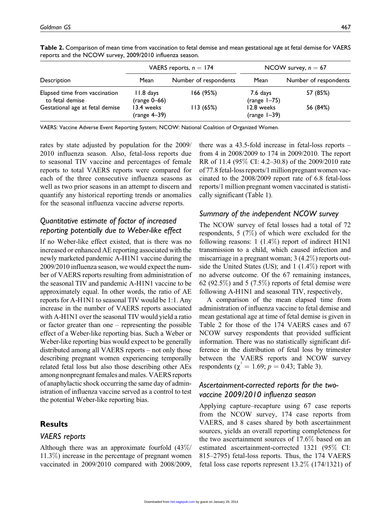|--|

|                                                  | VAERS reports, $n = 174$     |                       | NCOW survey, $n = 67$       |                       |
|--------------------------------------------------|------------------------------|-----------------------|-----------------------------|-----------------------|
| Description                                      | Mean                         | Number of respondents | Mean                        | Number of respondents |
| Elapsed time from vaccination<br>to fetal demise | 11.8 days<br>$(range 0-66)$  | 166 (95%)             | 7.6 days<br>(range $1-75$ ) | 57 (85%)              |
| Gestational age at fetal demise                  | 13.4 weeks<br>$(range 4-39)$ | 113 (65%)             | 12.8 weeks<br>$(range -39)$ | 56 (84%)              |

Table 2. Comparison of mean time from vaccination to fetal demise and mean gestational age at fetal demise for VAERS reports and the NCOW survey, 2009/2010 influenza season.

VAERS: Vaccine Adverse Event Reporting System; NCOW: National Coalition of Organized Women.

rates by state adjusted by population for the 2009/ 2010 influenza season. Also, fetal-loss reports due to seasonal TIV vaccine and percentages of female reports to total VAERS reports were compared for each of the three consecutive influenza seasons as well as two prior seasons in an attempt to discern and quantify any historical reporting trends or anomalies for the seasonal influenza vaccine adverse reports.

# Quantitative estimate of factor of increased reporting potentially due to Weber-like effect

If no Weber-like effect existed, that is there was no increased or enhanced AE reporting associated with the newly marketed pandemic A-H1N1 vaccine during the 2009/2010 influenza season, we would expect the number of VAERS reports resulting from administration of the seasonal TIV and pandemic A-H1N1 vaccine to be approximately equal. In other words, the ratio of AE reports for A-H1N1 to seasonal TIV would be 1:1. Any increase in the number of VAERS reports associated with A-H1N1 over the seasonal TIV would yield a ratio or factor greater than one – representing the possible effect of a Weber-like reporting bias. Such a Weber or Weber-like reporting bias would expect to be generally distributed among all VAERS reports – not only those describing pregnant women experiencing temporally related fetal loss but also those describing other AEs among nonpregnant females and males. VAERS reports of anaphylactic shock occurring the same day of administration of influenza vaccine served as a control to test the potential Weber-like reporting bias.

## **Results**

## VAERS reports

Although there was an approximate fourfold (43%/ 11.3%) increase in the percentage of pregnant women vaccinated in 2009/2010 compared with 2008/2009, there was a 43.5-fold increase in fetal-loss reports – from 4 in 2008/2009 to 174 in 2009/2010. The report RR of 11.4 (95% CI: 4.2–30.8) of the 2009/2010 rate of 77.8 fetal-loss reports/1 million pregnant women vaccinated to the 2008/2009 report rate of 6.8 fetal-loss reports/1 million pregnant women vaccinated is statistically significant (Table 1).

## Summary of the independent NCOW survey

The NCOW survey of fetal losses had a total of 72 respondents, 5 (7%) of which were excluded for the following reasons: 1 (1.4%) report of indirect H1N1 transmission to a child, which caused infection and miscarriage in a pregnant woman; 3 (4.2%) reports outside the United States (US); and 1 (1.4%) report with no adverse outcome. Of the 67 remaining instances, 62 (92.5%) and 5 (7.5%) reports of fetal demise were following A-H1N1 and seasonal TIV, respectively,

A comparison of the mean elapsed time from administration of influenza vaccine to fetal demise and mean gestational age at time of fetal demise is given in Table 2 for those of the 174 VAERS cases and 67 NCOW survey respondents that provided sufficient information. There was no statistically significant difference in the distribution of fetal loss by trimester between the VAERS reports and NCOW survey respondents ( $\chi^2 = 1.69$ ;  $p = 0.43$ ; Table 3).

# Ascertainment-corrected reports for the twovaccine 2009/2010 influenza season

Applying capture–recapture using 67 case reports from the NCOW survey, 174 case reports from VAERS, and 8 cases shared by both ascertainment sources, yields an overall reporting completeness for the two ascertainment sources of 17.6% based on an estimated ascertainment-corrected 1321 (95% CI: 815–2795) fetal-loss reports. Thus, the 174 VAERS fetal loss case reports represent 13.2% (174/1321) of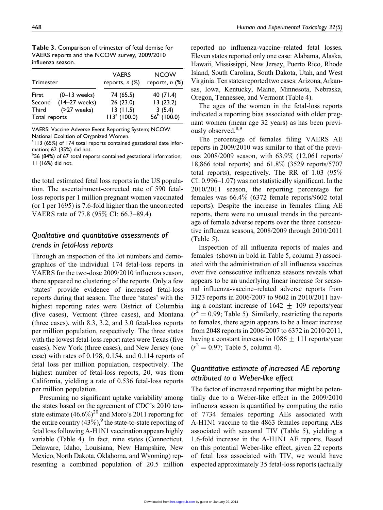| influenza season. |                   |                                     |                                    |  |  |  |
|-------------------|-------------------|-------------------------------------|------------------------------------|--|--|--|
| Trimester         |                   | <b>VAERS</b><br>reports, $n$ $(\%)$ | <b>NCOW</b><br>reports, $n$ $(\%)$ |  |  |  |
| First             | $(0-13$ weeks)    | 74 (65.5)                           | 40 $(71.4)$                        |  |  |  |
| Second            | $(14-27$ weeks)   | 26(23.0)                            | 13(23.2)                           |  |  |  |
| <b>Third</b>      | $($ >27 weeks $)$ | 13(11.5)                            | 3(5.4)                             |  |  |  |

Total reports  $113^a (100.0) 56^b (100.0)$ 

Table 3. Comparison of trimester of fetal demise for VAERS reports and the NCOW survey, 2009/2010

VAERS: Vaccine Adverse Event Reporting System; NCOW: National Coalition of Organized Women.

<sup>a</sup> II3 (65%) of 174 total reports contained gestational date information; 62 (35%) did not.

<sup>b</sup>56 (84%) of 67 total reports contained gestational information; 11 (16%) did not.

the total estimated fetal loss reports in the US population. The ascertainment-corrected rate of 590 fetalloss reports per 1 million pregnant women vaccinated (or 1 per 1695) is 7.6-fold higher than the uncorrected VAERS rate of 77.8 (95% CI: 66.3–89.4).

## Qualitative and quantitative assessments of trends in fetal-loss reports

Through an inspection of the lot numbers and demographics of the individual 174 fetal-loss reports in VAERS for the two-dose 2009/2010 influenza season, there appeared no clustering of the reports. Only a few 'states' provide evidence of increased fetal-loss reports during that season. The three 'states' with the highest reporting rates were District of Columbia (five cases), Vermont (three cases), and Montana (three cases), with 8.3, 3.2, and 3.0 fetal-loss reports per million population, respectively. The three states with the lowest fetal-loss report rates were Texas (five cases), New York (three cases), and New Jersey (one case) with rates of 0.198, 0.154, and 0.114 reports of fetal loss per million population, respectively. The highest number of fetal-loss reports, 20, was from California, yielding a rate of 0.536 fetal-loss reports per million population.

Presuming no significant uptake variability among the states based on the agreement of CDC's 2010 tenstate estimate  $(46.6\%)^{20}$  and Moro's 2011 reporting for the entire country  $(43\%)$ , the state-to-state reporting of fetal loss following A-H1N1 vaccination appears highly variable (Table 4). In fact, nine states (Connecticut, Delaware, Idaho, Louisiana, New Hampshire, New Mexico, North Dakota, Oklahoma, and Wyoming) representing a combined population of 20.5 million reported no influenza-vaccine–related fetal losses. Eleven states reported only one case: Alabama, Alaska, Hawaii, Mississippi, New Jersey, Puerto Rico, Rhode Island, South Carolina, South Dakota, Utah, and West Virginia. Ten states reportedtwo cases: Arizona, Arkansas, Iowa, Kentucky, Maine, Minnesota, Nebraska, Oregon, Tennessee, and Vermont (Table 4).

The ages of the women in the fetal-loss reports indicated a reporting bias associated with older pregnant women (mean age 32 years) as has been previously observed.<sup>8,9</sup>

The percentage of females filing VAERS AE reports in 2009/2010 was similar to that of the previous 2008/2009 season, with 63.9% (12,061 reports/ 18,866 total reports) and 61.8% (3529 reports/5707 total reports), respectively. The RR of 1.03 (95% CI: 0.996–1.07) was not statistically significant. In the 2010/2011 season, the reporting percentage for females was 66.4% (6372 female reports/9602 total reports). Despite the increase in females filing AE reports, there were no unusual trends in the percentage of female adverse reports over the three consecutive influenza seasons, 2008/2009 through 2010/2011 (Table 5).

Inspection of all influenza reports of males and females (shown in bold in Table 5, column 3) associated with the administration of all influenza vaccines over five consecutive influenza seasons reveals what appears to be an underlying linear increase for seasonal influenza-vaccine–related adverse reports from 3123 reports in 2006/2007 to 9602 in 2010/2011 having a constant increase of  $1642 \pm 109$  reports/year  $(r^2 = 0.99;$  Table 5). Similarly, restricting the reports to females, there again appears to be a linear increase from 2048 reports in 2006/2007 to 6372 in 2010/2011, having a constant increase in  $1086 \pm 111$  reports/year  $(r^2 = 0.97;$  Table 5, column 4).

# Quantitative estimate of increased AE reporting attributed to a Weber-like effect

The factor of increased reporting that might be potentially due to a Weber-like effect in the 2009/2010 influenza season is quantified by computing the ratio of 7734 females reporting AEs associated with A-H1N1 vaccine to the 4863 females reporting AEs associated with seasonal TIV (Table 5), yielding a 1.6-fold increase in the A-H1N1 AE reports. Based on this potential Weber-like effect, given 22 reports of fetal loss associated with TIV, we would have expected approximately 35 fetal-loss reports (actually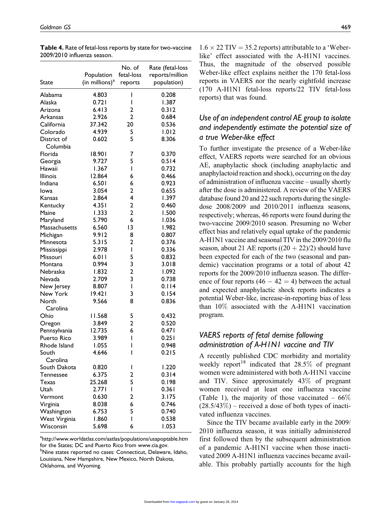| State                   | Population<br>(in millions) <sup>a</sup> | No. of<br>fetal-loss<br>reports | Rate (fetal-loss<br>reports/million<br>population) |
|-------------------------|------------------------------------------|---------------------------------|----------------------------------------------------|
| Alabama                 | 4.803                                    | ı                               | 0.208                                              |
| Alaska                  | 0.721                                    | ı                               | 1.387                                              |
| Arizona                 | 6.413                                    | 2                               | 0.312                                              |
| Arkansas                | 2.926                                    | $\overline{2}$                  | 0.684                                              |
| California              | 37.342                                   | 20                              | 0.536                                              |
| Colorado                | 4.939                                    | 5                               | 1.012                                              |
| District of<br>Columbia | 0.602                                    | 5                               | 8.306                                              |
| Florida                 | 18.901                                   | 7                               | 0.370                                              |
| Georgia                 | 9.727                                    | 5                               | 0.514                                              |
| Hawaii                  | 1.367                                    | ı                               | 0.732                                              |
| <b>Illinois</b>         | 12.864                                   | 6                               | 0.466                                              |
| Indiana                 | 6.501                                    | 6                               | 0.923                                              |
| Iowa                    | 3.054                                    | 2                               | 0.655                                              |
| Kansas                  | 2.864                                    | 4                               | 1.397                                              |
| Kentucky                | 4.351                                    | 2                               | 0.460                                              |
| Maine                   | 1.333                                    | $\overline{2}$                  | 1.500                                              |
| Maryland                | 5.790                                    | 6                               | 1.036                                              |
| Massachusetts           | 6.560                                    | 13                              | 1.982                                              |
| Michigan                | 9.912                                    | 8                               | 0.807                                              |
| Minnesota               | 5.315                                    | 2                               | 0.376                                              |
| Mississippi             | 2.978                                    | I                               | 0.336                                              |
| Missouri                | 6.011                                    | 5                               | 0.832                                              |
| Montana                 | 0.994                                    | 3                               | 3.018                                              |
| Nebraska                | 1.832                                    | 2                               | 1.092                                              |
| Nevada                  | 2.709                                    | 3                               | 0.738                                              |
| New Jersey              | 8.807                                    | ı                               | 0.114                                              |
| New York                | 19.421                                   | 3                               | 0.154                                              |
| North<br>Carolina       | 9.566                                    | 8                               | 0.836                                              |
| Ohio                    | 11.568                                   | 5                               | 0.432                                              |
| Oregon                  | 3.849                                    | 2                               | 0.520                                              |
| Pennsylvania            | 12.735                                   | 6                               | 0.471                                              |
| Puerto Rico             | 3.989                                    | I                               | 0.251                                              |
| Rhode Island            | 1.055                                    | ı                               | 0.948                                              |
| South<br>Carolina       | 4.646                                    | ı                               | 0.215                                              |
| South Dakota            | 0.820                                    | L                               | 1.220                                              |
| <b>Tennessee</b>        | 6.375                                    | 2                               | 0.314                                              |
| Texas                   | 25.268                                   | 5                               | 0.198                                              |
| Utah                    | 2.771                                    | I                               | 0.361                                              |
| Vermont                 | 0.630                                    | 2                               | 3.175                                              |
| Virginia                | 8.038                                    | 6                               | 0.746                                              |
| Washington              | 6.753                                    | 5                               | 0.740                                              |
| West Virginia           | 1.860                                    | I                               | 0.538                                              |
| Wisconsin               | 5.698                                    | 6                               | 1.053                                              |

Table 4. Rate of fetal-loss reports by state for two-vaccine 2009/2010 influenza season.

<sup>a</sup>http://www.worldatlas.com/aatlas/populations/usapoptable.htm for the States; DC and Puerto Rico from www.cia.gov. <sup>b</sup>Nine states reported no cases: Connecticut, Delaware, Idaho, Louisiana, New Hampshire, New Mexico, North Dakota, Oklahoma, and Wyoming.

 $1.6 \times 22$  TIV = 35.2 reports) attributable to a 'Weberlike' effect associated with the A-H1N1 vaccines. Thus, the magnitude of the observed possible Weber-like effect explains neither the 170 fetal-loss reports in VAERS nor the nearly eightfold increase (170 A-H1N1 fetal-loss reports/22 TIV fetal-loss reports) that was found.

# Use of an independent control AE group to isolate and independently estimate the potential size of a true Weber-like effect

To further investigate the presence of a Weber-like effect, VAERS reports were searched for an obvious AE, anaphylactic shock (including anaphylactic and anaphylactoid reaction and shock), occurring on the day of administration of influenza vaccine – usually shortly after the dose is administered. A review of the VAERS database found 20 and 22 such reports during the singledose 2008/2009 and 2010/2011 influenza seasons, respectively; whereas, 46 reports were found during the two-vaccine 2009/2010 season. Presuming no Weber effect bias and relatively equal uptake of the pandemic A-H1N1 vaccine and seasonal TIV in the 2009/2010 flu season, about 21 AE reports  $((20 + 22)/2)$  should have been expected for each of the two (seasonal and pandemic) vaccination programs or a total of about 42 reports for the 2009/2010 influenza season. The difference of four reports  $(46 - 42 = 4)$  between the actual and expected anaphylactic shock reports indicates a potential Weber-like, increase-in-reporting bias of less than 10% associated with the A-H1N1 vaccination program.

## VAERS reports of fetal demise following administration of A-H1N1 vaccine and TIV

A recently published CDC morbidity and mortality weekly report<sup>18</sup> indicated that  $28.5\%$  of pregnant women were administered with both A-H1N1 vaccine and TIV. Since approximately 43% of pregnant women received at least one influenza vaccine (Table 1), the majority of those vaccinated –  $66\%$  $(28.5/43\%)$  – received a dose of both types of inactivated influenza vaccines.

Since the TIV became available early in the 2009/ 2010 influenza season, it was initially administered first followed then by the subsequent administration of a pandemic A-H1N1 vaccine when those inactivated 2009 A-H1N1 influenza vaccines became available. This probably partially accounts for the high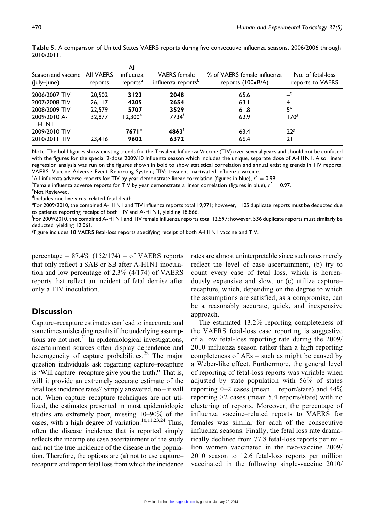| 2010/2011.                                  |                  |                                          |                                                       |                                                           |                                       |
|---------------------------------------------|------------------|------------------------------------------|-------------------------------------------------------|-----------------------------------------------------------|---------------------------------------|
| Season and vaccine All VAERS<br>(July-June) | reports          | All<br>influenza<br>reports <sup>a</sup> | <b>VAERS</b> female<br>influenza reports <sup>p</sup> | % of VAERS female influenza<br>reports $(100\bullet B/A)$ | No. of fetal-loss<br>reports to VAERS |
| 2006/2007 TIV<br>2007/2008 TIV              | 20,502<br>26.117 | 3123<br>4205                             | 2048<br>2654                                          | 65.6<br>63.1                                              | 4                                     |

 $2008/2009$  TIV  $22,579$  5707 3529 61.8 5<sup>d</sup>

2009/2010 TIV **7671<sup>e</sup> 4863<sup>f</sup> 63.4** 22<sup>g</sup> 2010/2011 TIV 23,416 9602 6372 66.4 21

Table 5. A comparison of United States VAERS reports during five consecutive influenza seasons, 2006/2006 through

Note: The bold figures show existing trends for the Trivalent Influenza Vaccine (TIV) over several years and should not be confused with the figures for the special 2-dose 2009/10 Influenza season which includes the unique, separate dose of A-H1N1. Also, linear regression analysis was run on the figures shown in bold to show statistical correlation and annual existing trends in TIV reports. VAERS: Vaccine Adverse Event Reporting System; TIV: trivalent inactivated influenza vaccine.

32,877 12,300<sup>e</sup> 7734<sup>f</sup> 62.9 170<sup>g</sup>

<sup>a</sup> All influenza adverse reports for TIV by year demonstrate linear correlation (figures in blue),  $r^2 = 0.99$ .<br><sup>b</sup> Female influenza adverse reports for TIV by year demonstrate a linear correlation (figures in blue),  $r^$ 

<sup>b</sup>Female influenza adverse reports for TIV by year demonstrate a linear correlation (figures in blue),  $r^2 = 0.97$ .<br><sup>c</sup>Not Reviewed

Not Reviewed.

2009/2010 A-H1N1

<sup>d</sup>Includes one live virus–related fetal death.

<sup>e</sup>For 2009/2010, the combined A-H1N1 and TIV influenza reports total 19,971; however, 1105 duplicate reports must be deducted due to patients reporting receipt of both TIV and A-H1N1, yielding 18,866.

<sup>f</sup>For 2009/2010, the combined A-H1N1 and TIV female influenza reports total 12,597; however, 536 duplicate reports must similarly be deducted, yielding 12,061.

<sup>g</sup>Figure includes 18 VAERS fetal-loss reports specifying receipt of both A-H1N1 vaccine and TIV.

percentage –  $87.4\%$  (152/174) – of VAERS reports that only reflect a SAB or SB after A-H1N1 inoculation and low percentage of 2.3% (4/174) of VAERS reports that reflect an incident of fetal demise after only a TIV inoculation.

## **Discussion**

Capture–recapture estimates can lead to inaccurate and sometimes misleading results if the underlying assumptions are not met. $21$  In epidemiological investigations, ascertainment sources often display dependence and heterogeneity of capture probabilities.<sup>22</sup> The major question individuals ask regarding capture–recapture is 'Will capture–recapture give you the truth?' That is, will it provide an extremely accurate estimate of the fetal loss incidence rates? Simply answered, no – it will not. When capture–recapture techniques are not utilized, the estimates presented in most epidemiologic studies are extremely poor, missing 10–90% of the cases, with a high degree of variation.<sup>10,11,23,24</sup> Thus, often the disease incidence that is reported simply reflects the incomplete case ascertainment of the study and not the true incidence of the disease in the population. Therefore, the options are (a) not to use capture– recapture and report fetal loss from which the incidence rates are almost uninterpretable since such rates merely reflect the level of case ascertainment, (b) try to count every case of fetal loss, which is horrendously expensive and slow, or (c) utilize capture– recapture, which, depending on the degree to which the assumptions are satisfied, as a compromise, can be a reasonably accurate, quick, and inexpensive approach.

The estimated 13.2% reporting completeness of the VAERS fetal-loss case reporting is suggestive of a low fetal-loss reporting rate during the 2009/ 2010 influenza season rather than a high reporting completeness of AEs – such as might be caused by a Weber-like effect. Furthermore, the general level of reporting of fetal-loss reports was variable when adjusted by state population with 56% of states reporting 0–2 cases (mean 1 report/state) and 44% reporting >2 cases (mean 5.4 reports/state) with no clustering of reports. Moreover, the percentage of influenza vaccine–related reports to VAERS for females was similar for each of the consecutive influenza seasons. Finally, the fetal loss rate dramatically declined from 77.8 fetal-loss reports per million women vaccinated in the two-vaccine 2009/ 2010 season to 12.6 fetal-loss reports per million vaccinated in the following single-vaccine 2010/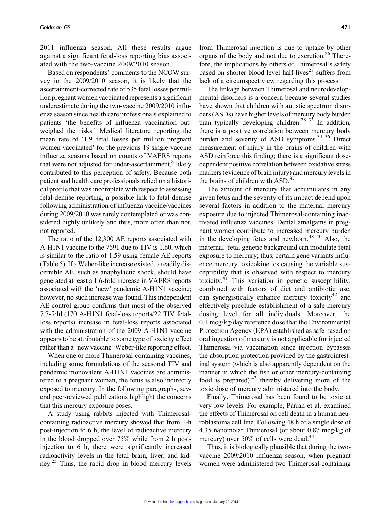2011 influenza season. All these results argue against a significant fetal-loss reporting bias associated with the two-vaccine 2009/2010 season.

Based on respondents' comments to the NCOW survey in the 2009/2010 season, it is likely that the ascertainment-corrected rate of 535 fetal losses per million pregnant women vaccinated represents a significant underestimate during the two-vaccine 2009/2010 influenza season since health care professionals explained to patients 'the benefits of influenza vaccination outweighed the risks.' Medical literature reporting the mean rate of '1.9 fetal losses per million pregnant women vaccinated' for the previous 19 single-vaccine influenza seasons based on counts of VAERS reports that were not adjusted for under-ascertainment, $8$  likely contributed to this perception of safety. Because both patient and health care professionals relied on a historical profile that was incomplete with respect to assessing fetal-demise reporting, a possible link to fetal demise following administration of influenza vaccine/vaccines during 2009/2010 was rarely contemplated or was considered highly unlikely and thus, more often than not, not reported.

The ratio of the 12,300 AE reports associated with A-H1N1 vaccine to the 7691 due to TIV is 1.60, which is similar to the ratio of 1.59 using female AE reports (Table 5). If a Weber-like increase existed, a readily discernible AE, such as anaphylactic shock, should have generated at least a 1.6-fold increase in VAERS reports associated with the 'new' pandemic A-H1N1 vaccine; however, no such increase was found. This independent AE control group confirms that most of the observed 7.7-fold (170 A-H1N1 fetal-loss reports/22 TIV fetalloss reports) increase in fetal-loss reports associated with the administration of the 2009 A-H1N1 vaccine appears to be attributable to some type of toxicity effect rather than a 'new vaccine' Weber-like reporting effect.

When one or more Thimerosal-containing vaccines, including some formulations of the seasonal TIV and pandemic monovalent A-H1N1 vaccines are administered to a pregnant woman, the fetus is also indirectly exposed to mercury. In the following paragraphs, several peer-reviewed publications highlight the concerns that this mercury exposure poses.

A study using rabbits injected with Thimerosalcontaining radioactive mercury showed that from 1-h post-injection to 6 h, the level of radioactive mercury in the blood dropped over 75% while from 2 h postinjection to 6 h, there were significantly increased radioactivity levels in the fetal brain, liver, and kidney.<sup>25</sup> Thus, the rapid drop in blood mercury levels from Thimerosal injection is due to uptake by other organs of the body and not due to excretion.<sup>26</sup> Therefore, the implications by others of Thimerosal's safety based on shorter blood level half-lives<sup>27</sup> suffers from lack of a circumspect view regarding this process.

The linkage between Thimerosal and neurodevelopmental disorders is a concern because several studies have shown that children with autistic spectrum disorders (ASDs) have higher levels of mercury body burden than typically developing children.<sup>28–33</sup> In addition, there is a positive correlation between mercury body burden and severity of ASD symptoms.<sup>34-36</sup> Direct measurement of injury in the brains of children with ASD reinforce this finding; there is a significant dosedependent positive correlation between oxidative stress markers (evidence of brain injury) and mercury levels in the brains of children with ASD.<sup>37</sup>

The amount of mercury that accumulates in any given fetus and the severity of its impact depend upon several factors in addition to the maternal mercury exposure due to injected Thimerosal-containing inactivated influenza vaccines. Dental amalgams in pregnant women contribute to increased mercury burden in the developing fetus and newborn.<sup>38–40</sup> Also, the maternal–fetal genetic background can modulate fetal exposure to mercury; thus, certain gene variants influence mercury toxicokinetics causing the variable susceptibility that is observed with respect to mercury toxicity.<sup>41</sup> This variation in genetic susceptibility, combined with factors of diet and antibiotic use, can synergistically enhance mercury toxicity<sup>42</sup> and effectively preclude establishment of a safe mercury dosing level for all individuals. Moreover, the 0.1 mcg/kg/day reference dose that the Environmental Protection Agency (EPA) established as safe based on oral ingestion of mercury is not applicable for injected Thimerosal via vaccination since injection bypasses the absorption protection provided by the gastrointestinal system (which is also apparently dependent on the manner in which the fish or other mercury-containing food is prepared). $43$  thereby delivering more of the toxic dose of mercury administered into the body.

Finally, Thimerosal has been found to be toxic at very low levels. For example, Parran et al. examined the effects of Thimerosal on cell death in a human neuroblastoma cell line. Following 48 h of a single dose of 4.35 nanomolar Thimerosal (or about 0.87 mcg/kg of mercury) over  $50\%$  of cells were dead.<sup>44</sup>

Thus, it is biologically plausible that during the twovaccine 2009/2010 influenza season, when pregnant women were administered two Thimerosal-containing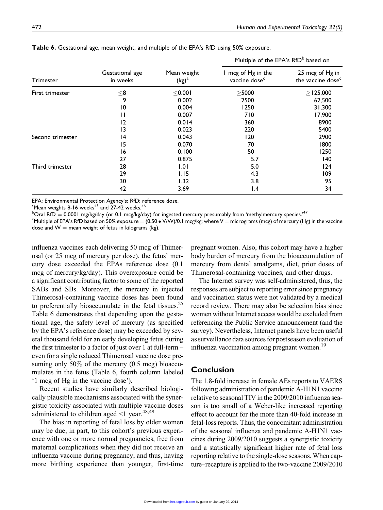dose<sup>c</sup>

| <b>Table 0.</b> Gestational age, mean weight, and multiple of the LFA's KID using J0% exposure. |                             |                         |                                                 |                                     |
|-------------------------------------------------------------------------------------------------|-----------------------------|-------------------------|-------------------------------------------------|-------------------------------------|
|                                                                                                 | Gestational age<br>in weeks | Mean weight<br>$(kg)^a$ | Multiple of the EPA's RfD <sup>b</sup> based on |                                     |
| Trimester                                                                                       |                             |                         | I mcg of Hg in the<br>vaccine dose <sup>c</sup> | 25 mcg of Hg in<br>the vaccine dose |
| First trimester                                                                                 | $<$ 8                       | $<$ 0.00                | $>$ 5000                                        | $>$ 125,000                         |
|                                                                                                 | 9                           | 0.002                   | 2500                                            | 62,500                              |
|                                                                                                 | 10                          | 0.004                   | 1250                                            | 31,300                              |
|                                                                                                 | -1                          | 0.007                   | 710                                             | 17,900                              |
|                                                                                                 | 12                          | 0.014                   | 360                                             | 8900                                |
|                                                                                                 | 13                          | 0.023                   | 220                                             | 5400                                |
| Second trimester                                                                                | 14                          | 0.043                   | 120                                             | 2900                                |
|                                                                                                 |                             |                         |                                                 |                                     |

Table 6. Gestational age, mean weight, and multiple of the EPA's RfD using 50% exposure.

EPA: Environmental Protection Agency's; RfD: reference dose.

 $^{\rm a}$ Mean weights 8-16 weeks $^{\rm 45}$  and 27-42 weeks. $^{\rm 46}$ 

 $^{\rm b}$ Oral RfD  $=$  0.0001 mg/kg/day (or 0.1 mcg/kg/day) for ingested mercury presumably from 'methylmercury species.' $^{47}$ 

 $^\circ$ Multiple of EPA's RfD based on 50% exposure  $=$  (0.50  $\bullet$  V/W)/0.1 mcg/kg; where V  $=$  micrograms (mcg) of mercury (Hg) in the vaccine dose and  $W =$  mean weight of fetus in kilograms (kg).

Third trimester **28** 1.01 5.0 5.0 124

15 0.070 70 1800 16 0.100 50 1250 27 0.875 5.7 and 140

29 1.15 4.3 109 30 1.32 3.8 95 42 3.69 1.4 34

influenza vaccines each delivering 50 mcg of Thimerosal (or 25 mcg of mercury per dose), the fetus' mercury dose exceeded the EPAs reference dose (0.1 mcg of mercury/kg/day). This overexposure could be a significant contributing factor to some of the reported SABs and SBs. Moreover, the mercury in injected Thimerosal-containing vaccine doses has been found to preferentially bioaccumulate in the fetal tissues.<sup>25</sup> Table 6 demonstrates that depending upon the gestational age, the safety level of mercury (as specified by the EPA's reference dose) may be exceeded by several thousand fold for an early developing fetus during the first trimester to a factor of just over 1 at full-term – even for a single reduced Thimerosal vaccine dose presuming only  $50\%$  of the mercury  $(0.5 \text{ mg})$  bioaccumulates in the fetus (Table 6, fourth column labeled '1 mcg of Hg in the vaccine dose').

Recent studies have similarly described biologically plausible mechanisms associated with the synergistic toxicity associated with multiple vaccine doses administered to children aged  $\leq 1$  year.<sup>48,49</sup>

The bias in reporting of fetal loss by older women may be due, in part, to this cohort's previous experience with one or more normal pregnancies, free from maternal complications when they did not receive an influenza vaccine during pregnancy, and thus, having more birthing experience than younger, first-time pregnant women. Also, this cohort may have a higher body burden of mercury from the bioaccumulation of mercury from dental amalgams, diet, prior doses of Thimerosal-containing vaccines, and other drugs.

The Internet survey was self-administered, thus, the responses are subject to reporting error since pregnancy and vaccination status were not validated by a medical record review. There may also be selection bias since women without Internet access would be excluded from referencing the Public Service announcement (and the survey). Nevertheless, Internet panels have been useful as surveillance data sources for postseason evaluation of influenza vaccination among pregnant women.<sup>19</sup>

## Conclusion

The 1.8-fold increase in female AEs reports to VAERS following administration of pandemic A-H1N1 vaccine relative to seasonal TIV in the 2009/2010 influenza season is too small of a Weber-like increased reporting effect to account for the more than 40-fold increase in fetal-loss reports. Thus, the concomitant administration of the seasonal influenza and pandemic A-H1N1 vaccines during 2009/2010 suggests a synergistic toxicity and a statistically significant higher rate of fetal loss reporting relative to the single-dose seasons. When capture–recapture is applied to the two-vaccine 2009/2010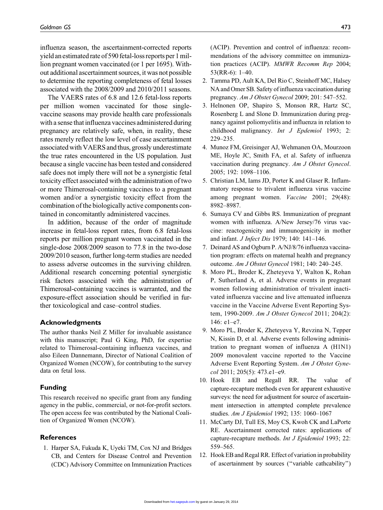influenza season, the ascertainment-corrected reports yield an estimated rate of 590 fetal-loss reports per 1 million pregnant women vaccinated (or 1 per 1695). Without additional ascertainment sources, it was not possible to determine the reporting completeness of fetal losses associated with the 2008/2009 and 2010/2011 seasons.

The VAERS rates of 6.8 and 12.6 fetal-loss reports per million women vaccinated for those singlevaccine seasons may provide health care professionals with a sense that influenza vaccines administered during pregnancy are relatively safe, when, in reality, these rates merely reflect the low level of case ascertainment associated with VAERS and thus, grossly underestimate the true rates encountered in the US population. Just because a single vaccine has been tested and considered safe does not imply there will not be a synergistic fetal toxicity effect associated with the administration of two or more Thimerosal-containing vaccines to a pregnant women and/or a synergistic toxicity effect from the combination of the biologically active components contained in concomitantly administered vaccines.

In addition, because of the order of magnitude increase in fetal-loss report rates, from 6.8 fetal-loss reports per million pregnant women vaccinated in the single-dose 2008/2009 season to 77.8 in the two-dose 2009/2010 season, further long-term studies are needed to assess adverse outcomes in the surviving children. Additional research concerning potential synergistic risk factors associated with the administration of Thimerosal-containing vaccines is warranted, and the exposure-effect association should be verified in further toxicological and case–control studies.

#### Acknowledgments

The author thanks Neil Z Miller for invaluable assistance with this manuscript; Paul G King, PhD, for expertise related to Thimerosal-containing influenza vaccines, and also Eileen Dannemann, Director of National Coalition of Organized Women (NCOW), for contributing to the survey data on fetal loss.

#### Funding

This research received no specific grant from any funding agency in the public, commercial, or not-for-profit sectors. The open access fee was contributed by the National Coalition of Organized Women (NCOW).

#### **References**

1. Harper SA, Fukuda K, Uyeki TM, Cox NJ and Bridges CB, and Centers for Disease Control and Prevention (CDC) Advisory Committee on Immunization Practices (ACIP). Prevention and control of influenza: recommendations of the advisory committee on immunization practices (ACIP). MMWR Recomm Rep 2004; 53(RR-6): 1–40.

- 2. Tamma PD, Ault KA, Del Rio C, Steinhoff MC, Halsey NA and Omer SB. Safety of influenza vaccination during pregnancy. Am J Obstet Gynecol 2009; 201: 547–552.
- 3. Helnonen OP, Shapiro S, Monson RR, Hartz SC, Rosenberg L and Slone D. Immunization during pregnancy against poliomyelitis and influenza in relation to childhood malignancy. Int J Epdemiol 1993; 2: 229–235.
- 4. Munoz FM, Greisinger AJ, Wehmanen OA, Mourzoon ME, Hoyle JC, Smith FA, et al. Safety of influenza vaccination during pregnancy. Am J Obstet Gynecol. 2005; 192: 1098–1106.
- 5. Christian LM, Iams JD, Porter K and Glaser R. Inflammatory response to trivalent influenza virus vaccine among pregnant women. Vaccine 2001; 29(48): 8982–8987.
- 6. Sumaya CV and Gibbs RS. Immunization of pregnant women with influenza. A/New Jersey/76 virus vaccine: reactogenicity and immunogenicity in mother and infant. J Infect Dis 1979; 140: 141–146.
- 7. Deinard AS and Ogburn P. A/NJ/8/76 influenza vaccination program: effects on maternal health and pregnancy outcome. Am J Obstet Gynecol 1981; 140: 240–245.
- 8. Moro PL, Broder K, Zheteyeva Y, Walton K, Rohan P, Sutherland A, et al. Adverse events in pregnant women following administration of trivalent inactivated influenza vaccine and live attenuated influenza vaccine in the Vaccine Adverse Event Reporting System, 1990-2009. Am J Obstet Gynecol 2011; 204(2): 146: e1–e7.
- 9. Moro PL, Broder K, Zheteyeva Y, Revzina N, Tepper N, Kissin D, et al. Adverse events following administration to pregnant women of influenza A (H1N1) 2009 monovalent vaccine reported to the Vaccine Adverse Event Reporting System. Am J Obstet Gynecol 2011; 205(5): 473.e1–e9.
- 10. Hook EB and Regall RR. The value of capture-recapture methods even for apparent exhaustive surveys: the need for adjustment for source of ascertainment intersection in attempted complete prevalence studies. Am J Epidemiol 1992; 135: 1060–1067
- 11. McCarty DJ, Tull ES, Moy CS, Kwoh CK and LaPorte RE. Ascertainment corrected rates: applications of capture-recapture methods. Int J Epidemiol 1993; 22: 559–565.
- 12. Hook EB and Regal RR. Effect of variation in probability of ascertainment by sources (''variable cathcability'')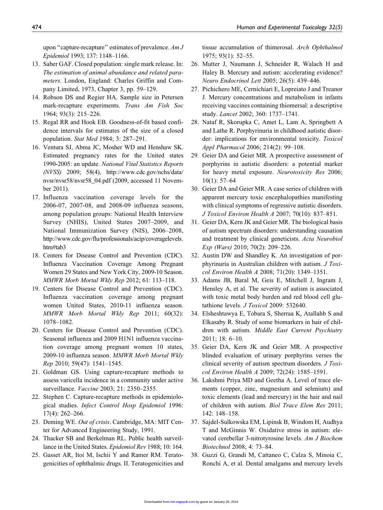upon "capture-recapture" estimates of prevalence. Am J Epidemiol 1993; 137: 1148–1166.

- 13. Saber GAF. Closed population: single mark release. In: The estimation of animal abundance and related parameters. London, England: Charles Griffin and Company Limited, 1973, Chapter 3, pp. 59–129.
- 14. Robson DS and Regier HA. Sample size in Petersen mark-recapture experiments. Trans Am Fish Soc 1964; 93(3): 215–226.
- 15. Regal RR and Hook EB. Goodness-of-fit based confidence intervals for estimates of the size of a closed population. Stat Med 1984; 3: 287–291.
- 16. Ventura SJ, Abma JC, Mosher WD and Henshaw SK. Estimated pregnancy rates for the United states 1990-2005: an update. National Vital Statistics Reports (NVSS) 2009; 58(4), [http://www.cdc.gov/nchs/data/](http://www.cdc.gov/nchs/data/nvsr/nvsr58/nvsr58_04.pdf) [nvsr/nvsr58/nvsr58\\_04.pdf](http://www.cdc.gov/nchs/data/nvsr/nvsr58/nvsr58_04.pdf) (2009, accessed 11 November 2011).
- 17. Influenza vaccination coverage levels for the 2006-07, 2007-08, and 2008-09 influenza seasons, among population groups: National Health Interview Survey (NHIS), United States 2007–2009, and National Immunization Survey (NIS), 2006–2008, [http://www.cdc.gov/flu/professionals/acip/coveragelevels.](http://www.cdc.gov/flu/professionals/acip/coveragelevels.htm#tab3) [htm#tab3](http://www.cdc.gov/flu/professionals/acip/coveragelevels.htm#tab3)
- 18. Centers for Disease Control and Prevention (CDC). Influenza Vaccination Coverage Among Pregnant Women 29 States and New York City, 2009-10 Season. MMWR Morb Mortal Wkly Rep 2012; 61: 113–118.
- 19. Centers for Disease Control and Prevention (CDC). Influenza vaccination coverage among pregnant women United States, 2010-11 influenza season. MMWR Morb Mortal Wkly Rep 2011; 60(32): 1078–1082.
- 20. Centers for Disease Control and Prevention (CDC). Seasonal influenza and 2009 H1N1 influenza vaccination coverage among pregnant women 10 states, 2009-10 influenza season. MMWR Morb Mortal Wkly Rep 2010; 59(47): 1541–1545.
- 21. Goldman GS. Using capture-recapture methods to assess varicella incidence in a community under active surveillance. Vaccine 2003; 21: 2350–2355.
- 22. Stephen C. Capture-recapture methods in epidemiological studies. Infect Control Hosp Epidemiol 1996: 17(4): 262–266.
- 23. Deming WE. Out of crisis. Cambridge, MA: MIT Center for Advanced Engineering Study, 1991.
- 24. Thacker SB and Berkelman RL. Public health surveillance in the United States. Epidemiol Rev 1988; 10: 164.
- 25. Gasset AR, Itoi M, Ischii Y and Ramer RM. Teratogenicities of ophthalmic drugs. II. Teratogenicities and

tissue accumulation of thimerosal. Arch Ophthalmol 1975; 93(1): 52–55.

- 26. Mutter J, Naumann J, Schneider R, Walach H and Haley B. Mercury and autism: accelerating evidence? Neuro Endocrinol Lett 2005; 26(5): 439–446.
- 27. Pichichero ME, Cernichiari E, Lopreiato J and Treanor J. Mercury concentrations and metabolism in infants receiving vaccines containing thiomersal: a descriptive study. Lancet 2002; 360: 1737–1741.
- 28. Nataf R, Skorupka C, Amet L, Lam A, Springbett A and Lathe R. Porphyrinuria in childhood autistic disorder: implications for environmental toxicity. Toxicol Appl Pharmacol 2006; 214(2): 99–108.
- 29. Geier DA and Geier MR. A prospective assessment of porphyrins in autistic disorders: a potential marker for heavy metal exposure. Neurotoxicity Res 2006; 10(1): 57–64
- 30. Geier DA and Geier MR. A case series of children with apparent mercury toxic encephalopathies manifesting with clinical symptoms of regressive autistic disorders. J Toxicol Environ Health A 2007; 70(10): 837–851.
- 31. Geier DA, Kern JK and Geier MR. The biological basis of autism spectrum disorders: understanding causation and treatment by clinical geneticists. Acta Neurobiol Exp (Wars) 2010; 70(2): 209–226.
- 32. Austin DW and Shandley K. An investigation of porphyrinuria in Australian children with autism. J Toxicol Environ Health A 2008; 71(20): 1349–1351.
- 33. Adams JB, Baral M, Geis E, Mitchell J, Ingram J, Hensley A, et al. The severity of autism is associated with toxic metal body burden and red blood cell glutathione levels. J Toxicol 2009: 532640.
- 34. Elsheshtawya E, Tobara S, Sherraa K, Atallahb S and Elkasaby R. Study of some biomarkers in hair of children with autism. Middle East Current Psychiatry 2011; 18: 6–10.
- 35. Geier DA, Kern JK and Geier MR. A prospective blinded evaluation of urinary porphyrins verses the clinical severity of autism spectrum disorders. J Toxicol Environ Health A 2009; 72(24): 1585–1591.
- 36. Lakshmi Priya MD and Geetha A. Level of trace elements (copper, zinc, magnesium and selenium) and toxic elements (lead and mercury) in the hair and nail of children with autism. Biol Trace Elem Res 2011; 142: 148–158.
- 37. Sajdel-Sulkowska EM, Lipinsk B, Windom H, Audhya T and McGinnis W. Oxidative stress in autism: elevated cerebellar 3-nitrotyrosine levels. Am J Biochem Biotechnol 2008; 4: 73–84.
- 38. Guzzi G, Grandi M, Cattaneo C, Calza S, Minoia C, Ronchi A, et al. Dental amalgams and mercury levels